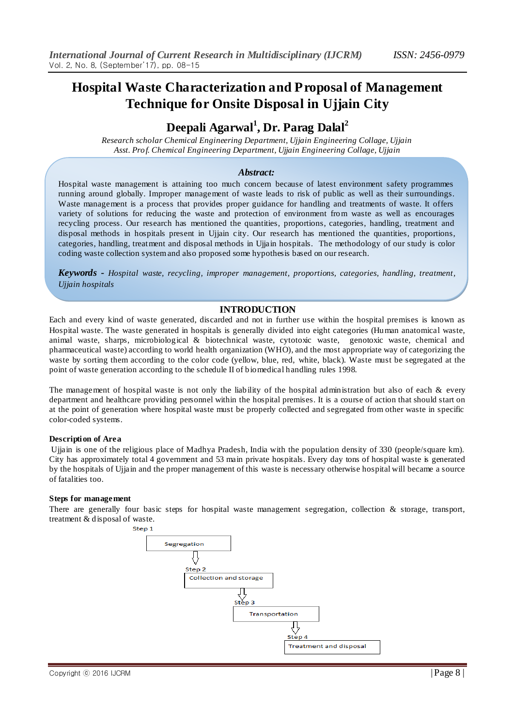# **Hospital Waste Characterization and Proposal of Management Technique for Onsite Disposal in Ujjain City**

# **Deepali Agarwal<sup>1</sup> , Dr. Parag Dalal<sup>2</sup>**

*Research scholar Chemical Engineering Department, Ujjain Engineering Collage, Ujjain Asst. Prof. Chemical Engineering Department, Ujjain Engineering Collage, Ujjain*

### *Abstract:*

Hospital waste management is attaining too much concern because of latest environment safety programmes running around globally. Improper management of waste leads to risk of public as well as their surroundings. Waste management is a process that provides proper guidance for handling and treatments of waste. It offers variety of solutions for reducing the waste and protection of environment from waste as well as encourages recycling process. Our research has mentioned the quantities, proportions, categories, handling, treatment and disposal methods in hospitals present in Ujjain city. Our research has mentioned the quantities, proportions, categories, handling, treatment and disposal methods in Ujjain hospitals. The methodology of our study is color coding waste collection system and also proposed some hypothesis based on our research.

*Keywords - Hospital waste, recycling, improper management, proportions, categories, handling, treatment, Ujjain hospitals*

#### **INTRODUCTION**

Each and every kind of waste generated, discarded and not in further use within the hospital premises is known as Hospital waste. The waste generated in hospitals is generally divided into eight categories (Human anatomical waste, animal waste, sharps, microbiological & biotechnical waste, cytotoxic waste, genotoxic waste, chemical and pharmaceutical waste) according to world health organization (WHO), and the most appropriate way of categorizing the waste by sorting them according to the color code (yellow, blue, red, white, black). Waste must be segregated at the point of waste generation according to the schedule II of biomedical handling rules 1998.

The management of hospital waste is not only the liability of the hospital administration but also of each & every department and healthcare providing personnel within the hospital premises. It is a course of action that should start on at the point of generation where hospital waste must be properly collected and segregated from other waste in specific color-coded systems.

#### **Description of Area**

Ujjain is one of the religious place of Madhya Pradesh, India with the population density of 330 (people/square km). City has approximately total 4 government and 53 main private hospitals. Every day tons of hospital waste is generated by the hospitals of Ujjain and the proper management of this waste is necessary otherwise hospital will became a source of fatalities too.

#### **Steps for management**

There are generally four basic steps for hospital waste management segregation, collection & storage, transport, treatment & disposal of waste.

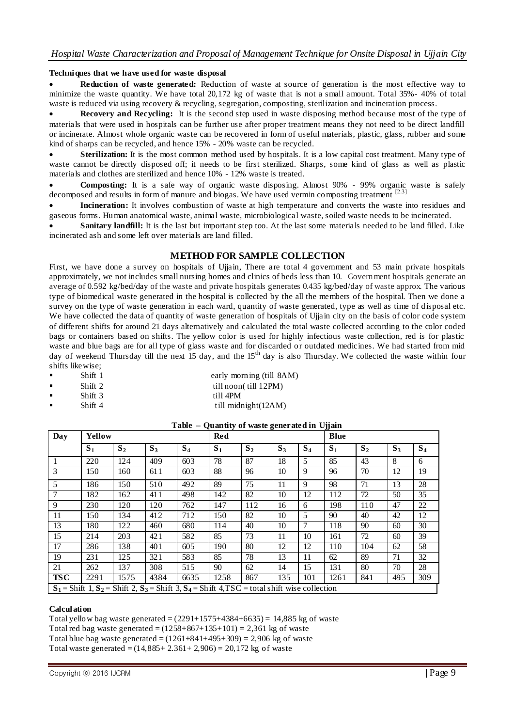# **Techniques that we have used for waste disposal**

 **Reduction of waste generated:** Reduction of waste at source of generation is the most effective way to minimize the waste quantity. We have total 20,172 kg of waste that is not a small amount. Total 35%- 40% of total waste is reduced via using recovery & recycling, segregation, composting, sterilization and incineration process.

 **Recovery and Recycling:** It is the second step used in waste disposing method because most of the type of materials that were used in hospitals can be further use after proper treatment means they not need to be direct landfill or incinerate. Almost whole organic waste can be recovered in form of useful materials, plastic, glass, rubber and some kind of sharps can be recycled, and hence 15% - 20% waste can be recycled.

Sterilization: It is the most common method used by hospitals. It is a low capital cost treatment. Many type of waste cannot be directly disposed off; it needs to be first sterilized. Sharps, some kind of glass as well as plastic materials and clothes are sterilized and hence 10% - 12% waste is treated.

 **Composting:** It is a safe way of organic waste disposing. Almost 90% - 99% organic waste is safely decomposed and results in form of manure and biogas. We have used vermin composting treatment  $[2.3]$ 

 **Incineration:** It involves combustion of waste at high temperature and converts the waste into residues and gaseous forms. Human anatomical waste, animal waste, microbiological waste, soiled waste needs to be incinerated.

**Sanitary landfill:** It is the last but important step too. At the last some materials needed to be land filled. Like incinerated ash and some left over materials are land filled.

## **METHOD FOR SAMPLE COLLECTION**

First, we have done a survey on hospitals of Ujiain, There are total 4 government and 53 main private hospitals approximately, we not includes small nursing homes and clinics of beds less than 10. Government hospitals generate an average of 0.592 kg/bed/day of the waste and private hospitals generates 0.435 kg/bed/day of waste approx. The various type of biomedical waste generated in the hospital is collected by the all the members of the hospital. Then we done a survey on the type of waste generation in each ward, quantity of waste generated, type as well as time of disposal etc. We have collected the data of quantity of waste generation of hospitals of Ujjain city on the basis of color code system of different shifts for around 21 days alternatively and calculated the total waste collected according to the color coded bags or containers based on shifts. The yellow color is used for highly infectious waste collection, red is for plastic waste and blue bags are for all type of glass waste and for discarded or outdated medicines. We had started from mid day of weekend Thursday till the next 15 day, and the 15<sup>th</sup> day is also Thursday. We collected the waste within four shifts likewise;

- - Shift 1 early morning (till 8AM) Shift 2 till noon( till 12PM)
- Shift 3 till 4PM
- Shift 4 till midnight(12AM)

**Table – Quantity of waste generated in Ujjain**

| Day            | Yellow |                                                                                                       |       |       | <b>Red</b>     |                |       |                | <b>Blue</b> |                |       |       |
|----------------|--------|-------------------------------------------------------------------------------------------------------|-------|-------|----------------|----------------|-------|----------------|-------------|----------------|-------|-------|
|                | $S_1$  | S <sub>2</sub>                                                                                        | $S_3$ | $S_4$ | S <sub>1</sub> | S <sub>2</sub> | $S_3$ | S <sub>4</sub> | $S_1$       | S <sub>2</sub> | $S_3$ | $S_4$ |
|                | 220    | 124                                                                                                   | 409   | 603   | 78             | 87             | 18    | 5              | 85          | 43             | 8     | 6     |
| 3              | 150    | 160                                                                                                   | 611   | 603   | 88             | 96             | 10    | 9              | 96          | 70             | 12    | 19    |
| 5              | 186    | 150                                                                                                   | 510   | 492   | 89             | 75             | 11    | 9              | 98          | 71             | 13    | 28    |
| $\overline{7}$ | 182    | 162                                                                                                   | 411   | 498   | 142            | 82             | 10    | 12             | 112         | 72             | 50    | 35    |
| 9              | 230    | 120                                                                                                   | 120   | 762   | 147            | 112            | 16    | 6              | 198         | 110            | 47    | 22    |
| 11             | 150    | 134                                                                                                   | 412   | 712   | 150            | 82             | 10    | 5              | 90          | 40             | 42    | 12    |
| 13             | 180    | 122                                                                                                   | 460   | 680   | 114            | 40             | 10    | $\tau$         | 118         | 90             | 60    | 30    |
| 15             | 214    | 203                                                                                                   | 421   | 582   | 85             | 73             | 11    | 10             | 161         | 72             | 60    | 39    |
| 17             | 286    | 138                                                                                                   | 401   | 605   | 190            | 80             | 12    | 12             | 110         | 104            | 62    | 58    |
| 19             | 231    | 125                                                                                                   | 321   | 583   | 85             | 78             | 13    | 11             | 62          | 89             | 71    | 32    |
| 21             | 262    | 137                                                                                                   | 308   | 515   | 90             | 62             | 14    | 15             | 131         | 80             | 70    | 28    |
| <b>TSC</b>     | 2291   | 1575                                                                                                  | 4384  | 6635  | 1258           | 867            | 135   | 101            | 1261        | 841            | 495   | 309   |
|                |        | $S_1$ = Shift 1, $S_2$ = Shift 2, $S_3$ = Shift 3, $S_4$ = Shift 4, TSC = total shift wise collection |       |       |                |                |       |                |             |                |       |       |

#### **Calculation**

Total yellow bag waste generated =  $(2291+1575+4384+6635) = 14,885$  kg of waste Total red bag waste generated =  $(1258+867+135+101) = 2,361$  kg of waste Total blue bag waste generated  $=(1261+841+495+309) = 2,906$  kg of waste Total waste generated =  $(14,885 + 2.361 + 2,906) = 20,172$  kg of waste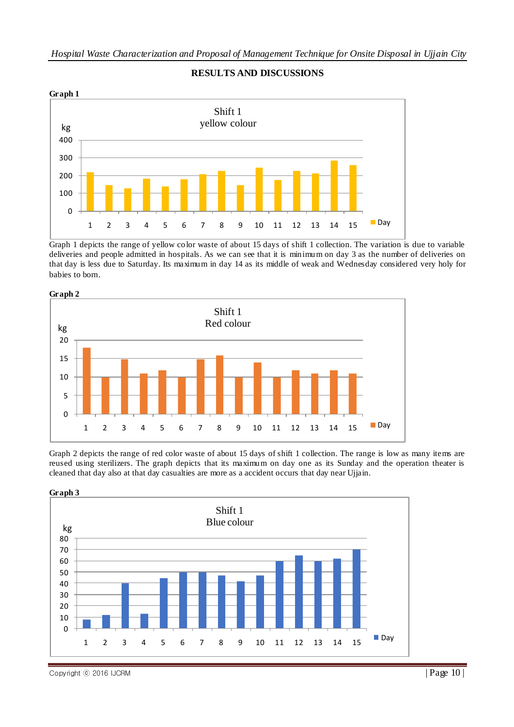

# **RESULTS AND DISCUSSIONS**

Graph 1 depicts the range of yellow color waste of about 15 days of shift 1 collection. The variation is due to variable deliveries and people admitted in hospitals. As we can see that it is minimum on day 3 as the number of deliveries on that day is less due to Saturday. Its maximum in day 14 as its middle of weak and Wednesday considered very holy for babies to born.



Graph 2 depicts the range of red color waste of about 15 days of shift 1 collection. The range is low as many items are reused using sterilizers. The graph depicts that its maximum on day one as its Sunday and the operation theater is cleaned that day also at that day casualties are more as a accident occurs that day near Ujjain.



Copyright © 2016 IJCRM  $\vert$  Page 10  $\vert$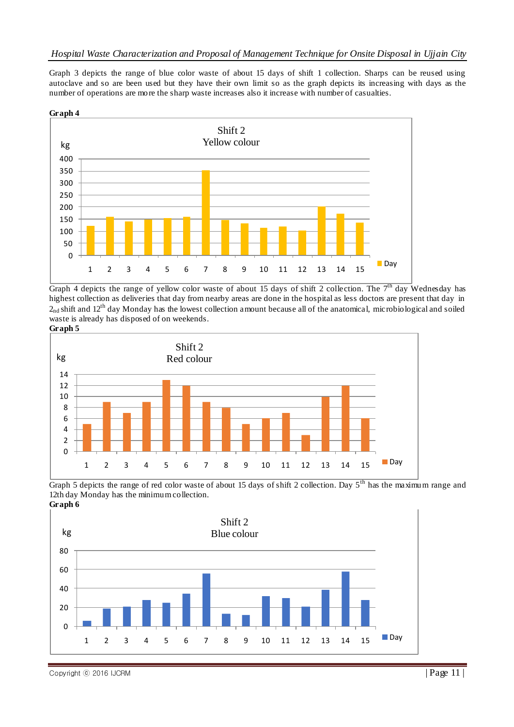Graph 3 depicts the range of blue color waste of about 15 days of shift 1 collection. Sharps can be reused using autoclave and so are been used but they have their own limit so as the graph depicts its increasing with days as the number of operations are more the sharp waste increases also it increase with number of casualties.





Graph 4 depicts the range of yellow color waste of about 15 days of shift 2 collection. The  $7<sup>th</sup>$  day Wednesday has highest collection as deliveries that day from nearby areas are done in the hospital as less doctors are present that day in  $2<sub>nd</sub>$  shift and 12<sup>th</sup> day Monday has the lowest collection amount because all of the anatomical, microbiological and soiled waste is already has disposed of on weekends.

**Graph 5**







Copyright © 2016 IJCRM  $\vert$  Page 11  $\vert$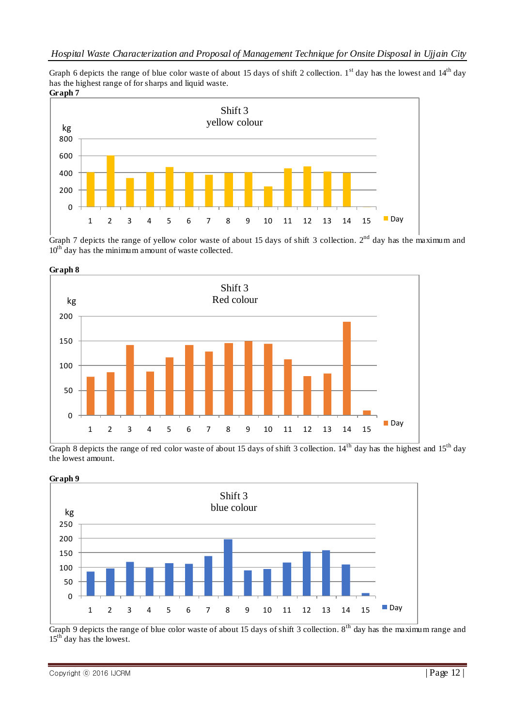Graph 6 depicts the range of blue color waste of about 15 days of shift 2 collection. 1<sup>st</sup> day has the lowest and  $14<sup>th</sup>$  day has the highest range of for sharps and liquid waste. **Graph 7**



Graph 7 depicts the range of yellow color waste of about 15 days of shift 3 collection.  $2^{nd}$  day has the maximum and  $10<sup>th</sup>$  day has the minimum amount of waste collected.



Graph 8 depicts the range of red color waste of about 15 days of shift 3 collection. 14<sup>th</sup> day has the highest and 15<sup>th</sup> day the lowest amount.



Graph 9 depicts the range of blue color waste of about 15 days of shift 3 collection.  $8<sup>th</sup>$  day has the maximum range and  $15<sup>th</sup>$  day has the lowest.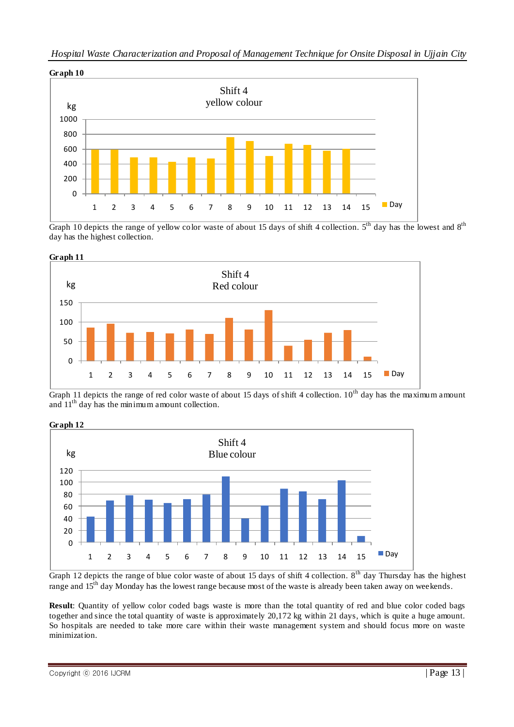

Graph 10 depicts the range of yellow color waste of about 15 days of shift 4 collection.  $5<sup>th</sup>$  day has the lowest and  $8<sup>th</sup>$ day has the highest collection.



Graph 11 depicts the range of red color waste of about 15 days of shift 4 collection.  $10^{th}$  day has the maximum amount and  $11<sup>th</sup>$  day has the minimum amount collection.



Graph 12 depicts the range of blue color waste of about 15 days of shift 4 collection.  $8<sup>th</sup>$  day Thursday has the highest range and 15<sup>th</sup> day Monday has the lowest range because most of the waste is already been taken away on weekends.

**Result**: Quantity of yellow color coded bags waste is more than the total quantity of red and blue color coded bags together and since the total quantity of waste is approximately 20,172 kg within 21 days, which is quite a huge amount. So hospitals are needed to take more care within their waste management system and should focus more on waste minimization.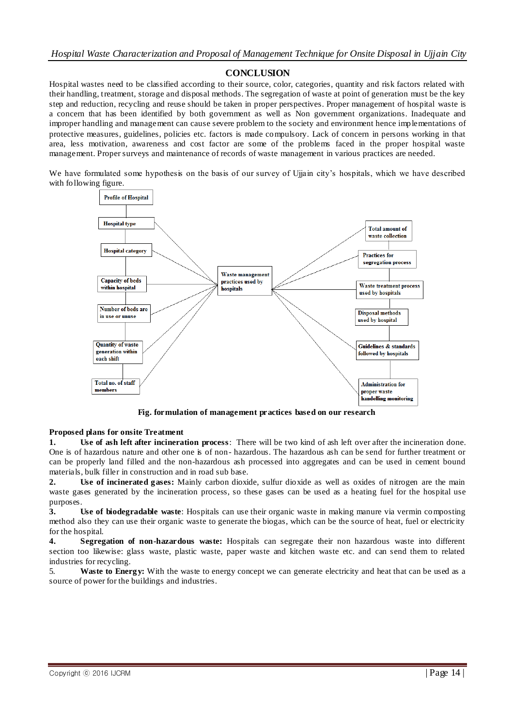# **CONCLUSION**

Hospital wastes need to be classified according to their source, color, categories, quantity and risk factors related with their handling, treatment, storage and disposal methods. The segregation of waste at point of generation must be the key step and reduction, recycling and reuse should be taken in proper perspectives. Proper management of hospital waste is a concern that has been identified by both government as well as Non government organizations. Inadequate and improper handling and management can cause severe problem to the society and environment hence implementations of protective measures, guidelines, policies etc. factors is made compulsory. Lack of concern in persons working in that area, less motivation, awareness and cost factor are some of the problems faced in the proper hospital waste management. Proper surveys and maintenance of records of waste management in various practices are needed.

We have formulated some hypothesis on the basis of our survey of Ujjain city's hospitals, which we have described with following figure.



**Fig. formulation of management practices based on our research**

#### **Proposed plans for onsite Treatment**

**1. Use of ash left after incineration process**: There will be two kind of ash left over after the incineration done. One is of hazardous nature and other one is of non- hazardous. The hazardous ash can be send for further treatment or can be properly land filled and the non-hazardous ash processed into aggregates and can be used in cement bound materials, bulk filler in construction and in road sub base.

**2. Use of incinerated gases:** Mainly carbon dioxide, sulfur dioxide as well as oxides of nitrogen are the main waste gases generated by the incineration process, so these gases can be used as a heating fuel for the hospital use purposes.

**3. Use of biodegradable waste**: Hospitals can use their organic waste in making manure via vermin composting method also they can use their organic waste to generate the biogas, which can be the source of heat, fuel or electricity for the hospital.

**4. Segregation of non-hazardous waste:** Hospitals can segregate their non hazardous waste into different section too likewise: glass waste, plastic waste, paper waste and kitchen waste etc. and can send them to related industries for recycling.

5. **Waste to Energy:** With the waste to energy concept we can generate electricity and heat that can be used as a source of power for the buildings and industries.